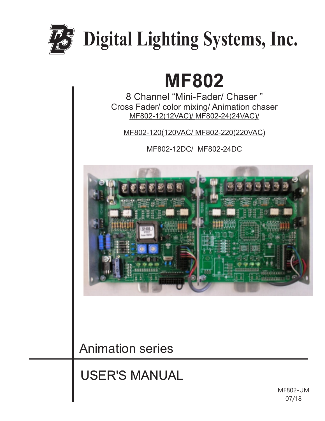

# **MF802**

8 Channel "Mini-Fader/ Chaser " Cross Fader/ color mixing/ Animation chaser MF802-12(12VAC)/ MF802-24(24VAC)/

MF802-120(120VAC/ MF802-220(220VAC)

MF802-12DC/ MF802-24DC



Animation series

USER'S MANUAL

MF802-UM 07/18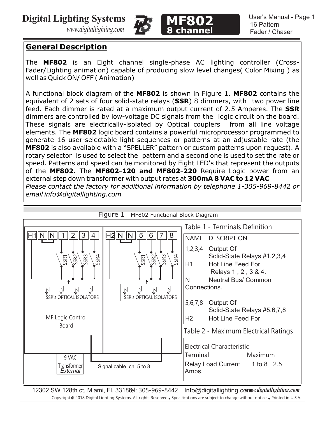*www.digitallighting.com*





# **General Description**

The **MF802** is an Eight channel single-phase AC lighting controller (Cross-Fader/Lighting animation) capable of producing slow level changes( Color Mixing ) as well as Quick ON/ OFF ( Animation)

A functional block diagram of the **MF802** is shown in Figure 1. **MF802** contains the equivalent of 2 sets of four solid-state relays (**SSR**) 8 dimmers, with two power line feed. Each dimmer is rated at a maximum output current of 2.5 Amperes. The **SSR** dimmers are controlled by low-voltage DC signals from the logic circuit on the board. These signals are electrically-isolated by Optical couplers from all line voltage elements. The **MF802** logic board contains a powerful microprocessor programmed to generate 16 user-selectable light sequences or patterns at an adjustable rate (the **MF802** is also available with a "SPELLER" pattern or custom patterns upon request). A rotary selector is used to select the pattern and a second one is used to set the rate or speed. Patterns and speed can be monitored by Eight LED's that represent the outputs of the **MF802**. The **MF802-120 and MF802-220** Require Logic power from an external step down transformer with output rates at **300mA 8 VAC to 12 VAC** *Please contact the factory for additional information by telephone 1-305-969-8442 or email info@digitallighting.com*

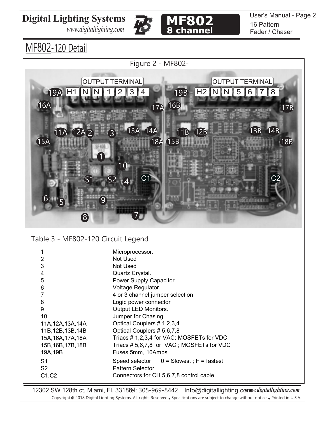*www.digitallighting.com*





User's Manual - Page 2 16 Pattern Fader / Chaser

MF802-120 Detail



### Table 3 - MF802-120 Circuit Legend

| 1                  | Microprocessor.                             |
|--------------------|---------------------------------------------|
| 2                  | Not Used                                    |
| 3                  | Not Used                                    |
| 4                  | Quartz Crystal.                             |
| 5                  | Power Supply Capacitor.                     |
| 6                  | Voltage Regulator.                          |
| 7                  | 4 or 3 channel jumper selection             |
| 8                  | Logic power connector                       |
| 9                  | Output LED Monitors.                        |
| 10                 | Jumper for Chasing                          |
| 11A, 12A, 13A, 14A | Optical Couplers # 1,2,3,4                  |
| 11B, 12B, 13B, 14B | Optical Couplers # 5,6,7,8                  |
| 15A, 16A, 17A, 18A | Triacs #1,2,3,4 for VAC; MOSFETs for VDC    |
| 15B, 16B, 17B, 18B | Triacs # 5,6,7,8 for VAC; MOSFETs for VDC   |
| 19A, 19B           | Fuses 5mm, 10Amps                           |
| S1                 | Speed selector $0 =$ Slowest; $F =$ fastest |
| S <sub>2</sub>     | <b>Pattern Selector</b>                     |
| C1, C2             | Connectors for CH 5,6,7,8 control cable     |
|                    |                                             |

12302 SW 128th ct, Miami, Fl. 3318fel: 305-969-8442 Info@digitallighting.com w.digitallighting.com Copyright @ 2018 Digital Lighting Systems, All rights Reserved . Specifications are subject to change without notice. . Printed in U.S.A.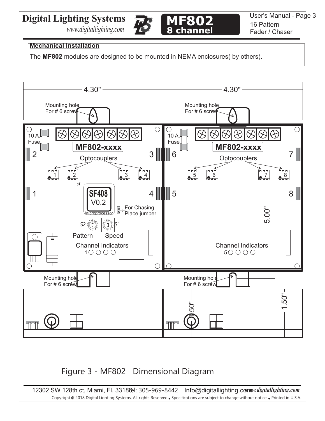*www.digitallighting.com*





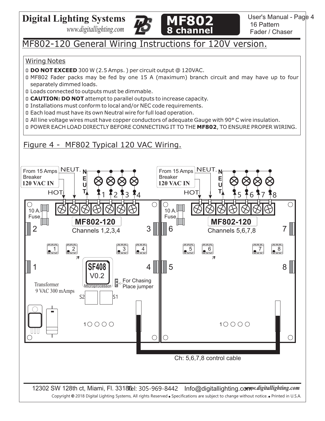*www.digitallighting.com*



# MF802-120 General Wiring Instructions for 120V version.

#### Wiring Notes

- 0 **DO NOT EXCEED** 300 W (2.5 Amps. ) per circuit output @ 120VAC.
- 0 MF802 Fader packs may be fed by one 15 A (maximum) branch circuit and may have up to four separately dimmed loads.
- 0 Loads connected to outputs must be dimmable.
- 0 **CAUTION: DO NOT** attempt to parallel outputs to increase capacity.
- 0 Installations must conform to local and/or NEC code requirements.
- 0 Each load must have its own Neutral wire for full load operation.
- D All line voltage wires must have copper conductors of adequate Gauge with 90° C wire insulation.
- 0 POWER EACH LOAD DIRECTLY BEFORE CONNECTING IT TO THE **MF802**, TO ENSURE PROPER WIRING.

## Figure 4 - MF802 Typical 120 VAC Wiring.

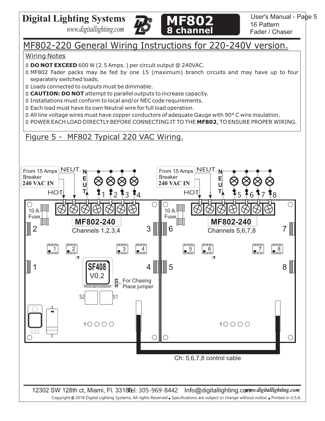*www.digitallighting.com*



# MF802-220 General Wiring Instructions for 220-240V version.

#### Wiring Notes

0 **DO NOT EXCEED** 600 W (2.5 Amps. ) per circuit output @ 240VAC.

- 0 MF802 Fader packs may be fed by one 15 (maximum) branch circuits and may have up to four separately switched loads.
- 0 Loads connected to outputs must be dimmable.
- 0 **CAUTION: DO NOT** attempt to parallel outputs to increase capacity.
- 0 Installations must conform to local and/or NEC code requirements.
- 0 Each load must have its own Neutral wire for full load operation.
- 0 All line voltage wires must have copper conductors of adequate Gauge with 90° C wire insulation.

0 POWER EACH LOAD DIRECTLY BEFORE CONNECTING IT TO THE **MF802**, TO ENSURE PROPER WIRING.

### Figure 5 - MF802 Typical 220 VAC Wiring.

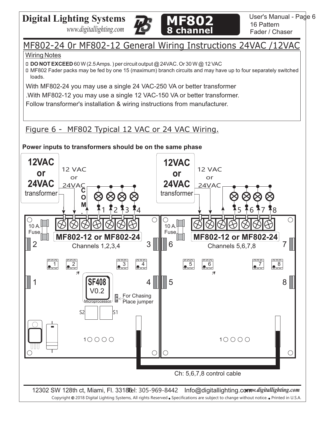



# MF802-24 0r MF802-12 General Wiring Instructions 24VAC /12VAC

#### Wiring Notes

0 **DO NOT EXCEED** 60 W (2.5 Amps. ) per circuit output @ 24VAC. Or 30 W @ 12 VAC

0 MF802 Fader packs may be fed by one 15 (maximum) branch circuits and may have up to four separately switched loads.

With MF802-24 you may use a single 24 VAC-250 VA or better transformer

.With MF802-12 you may use a single 12 VAC-150 VA or better transformer.

Follow transformer's installation & wiring instructions from manufacturer.

# Figure 6 - MF802 Typical 12 VAC or 24 VAC Wiring.



**Power inputs to transformers should be on the same phase**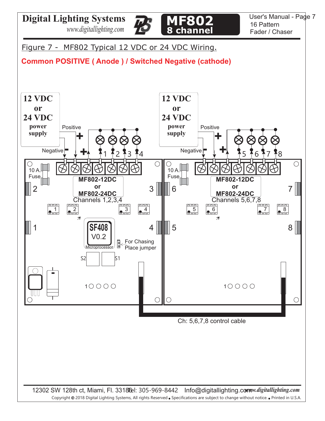



User's Manual - Page 7 16 Pattern Fader / Chaser

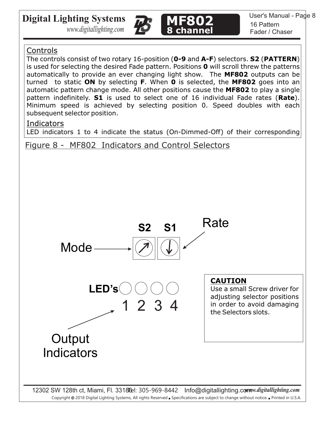*www.digitallighting.com*





### Controls

The controls consist of two rotary 16-position (**0-9** and **A-F**) selectors. **S2** (**PATTERN**) is used for selecting the desired Fade pattern. Positions **0** will scroll threw the patterns automatically to provide an ever changing light show. The **MF802** outputs can be turned to static **ON** by selecting **F**. When **0** is selected, the **MF802** goes into an automatic pattern change mode. All other positions cause the **MF802** to play a single pattern indefinitely. **S1** is used to select one of 16 individual Fade rates (**Rate**). Minimum speed is achieved by selecting position 0. Speed doubles with each subsequent selector position.

### Indicators

LED indicators 1 to 4 indicate the status (On-Dimmed-Off) of their corresponding

Figure 8 - MF802 Indicators and Control Selectors

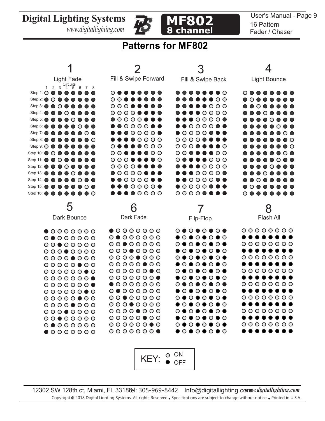*www.digitallighting.com*





#### User's Manual - Page 9 16 Pattern Fader / Chaser

# **Patterns for MF802**

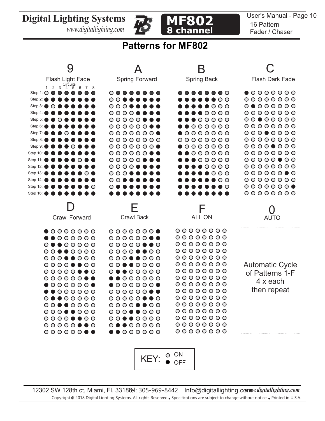*www.digitallighting.com*





#### User's Manual - Page 10 16 Pattern Fader / Chaser